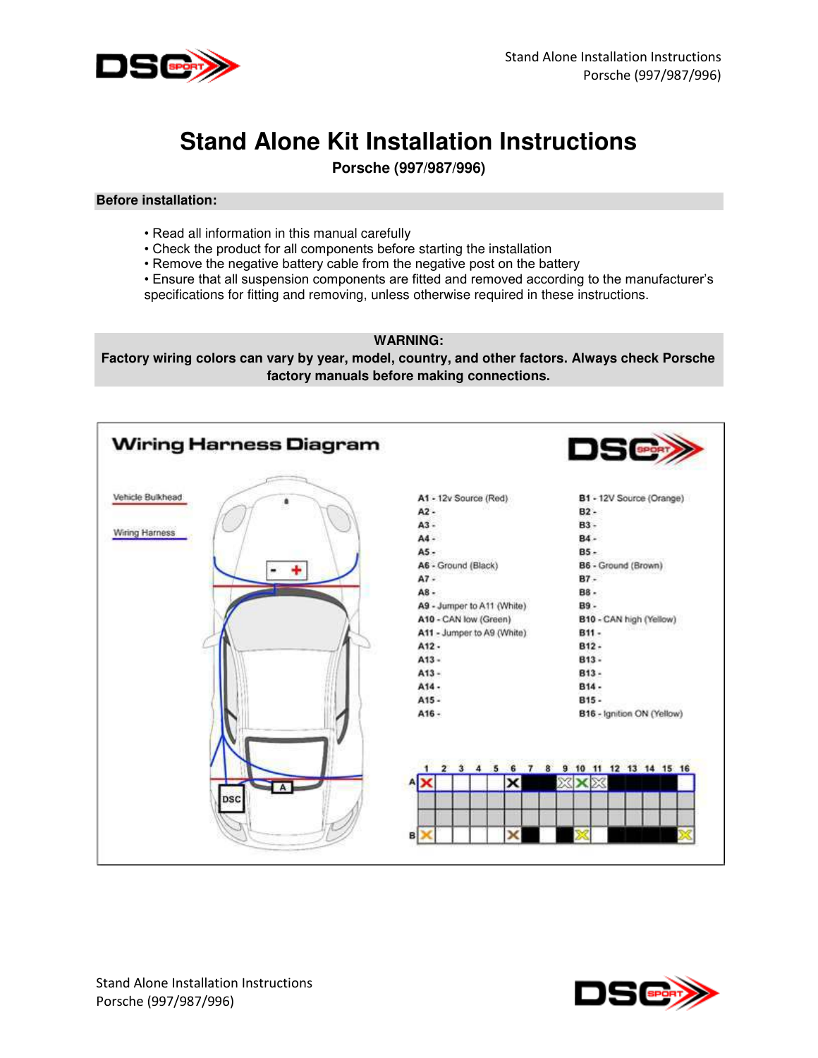

# **Stand Alone Kit Installation Instructions**

**Porsche (997/987/996)** 

#### **Before installation:**

- Read all information in this manual carefully
- Check the product for all components before starting the installation
- Remove the negative battery cable from the negative post on the battery
- Ensure that all suspension components are fitted and removed according to the manufacturer's specifications for fitting and removing, unless otherwise required in these instructions.
	- **WARNING:**

**Factory wiring colors can vary by year, model, country, and other factors. Always check Porsche factory manuals before making connections.** 



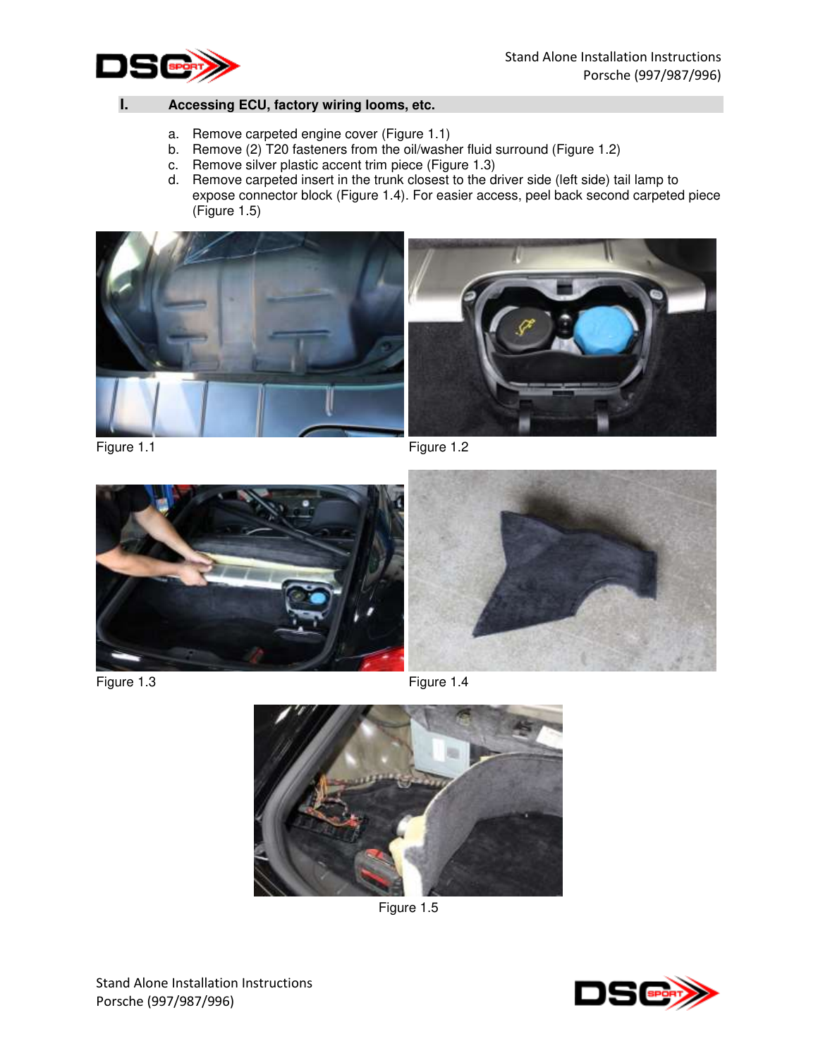

# **I. Accessing ECU, factory wiring looms, etc.**

- a. Remove carpeted engine cover (Figure 1.1)
- b. Remove (2) T20 fasteners from the oil/washer fluid surround (Figure 1.2)
- c. Remove silver plastic accent trim piece (Figure 1.3)
- d. Remove carpeted insert in the trunk closest to the driver side (left side) tail lamp to expose connector block (Figure 1.4). For easier access, peel back second carpeted piece (Figure 1.5)



Figure 1.1 Figure 1.2



Figure 1.3 Figure 1.4





Figure 1.5

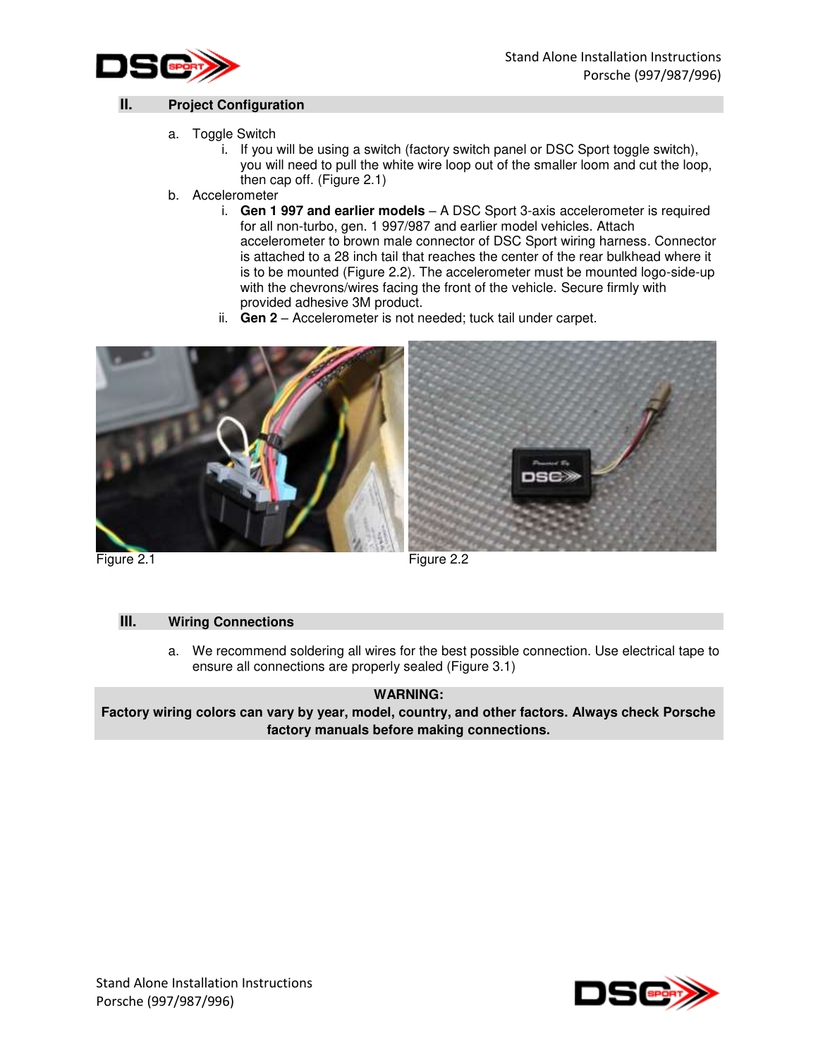



## **II. Project Configuration**

- a. Toggle Switch
	- i. If you will be using a switch (factory switch panel or DSC Sport toggle switch), you will need to pull the white wire loop out of the smaller loom and cut the loop, then cap off. (Figure 2.1)
- b. Accelerometer
	- i. **Gen 1 997 and earlier models**  A DSC Sport 3-axis accelerometer is required for all non-turbo, gen. 1 997/987 and earlier model vehicles. Attach accelerometer to brown male connector of DSC Sport wiring harness. Connector is attached to a 28 inch tail that reaches the center of the rear bulkhead where it is to be mounted (Figure 2.2). The accelerometer must be mounted logo-side-up with the chevrons/wires facing the front of the vehicle. Secure firmly with provided adhesive 3M product.
	- ii. **Gen 2**  Accelerometer is not needed; tuck tail under carpet.



Figure 2.1 Figure 2.2

## **III. Wiring Connections**

a. We recommend soldering all wires for the best possible connection. Use electrical tape to ensure all connections are properly sealed (Figure 3.1)

## **WARNING:**

**Factory wiring colors can vary by year, model, country, and other factors. Always check Porsche factory manuals before making connections.** 

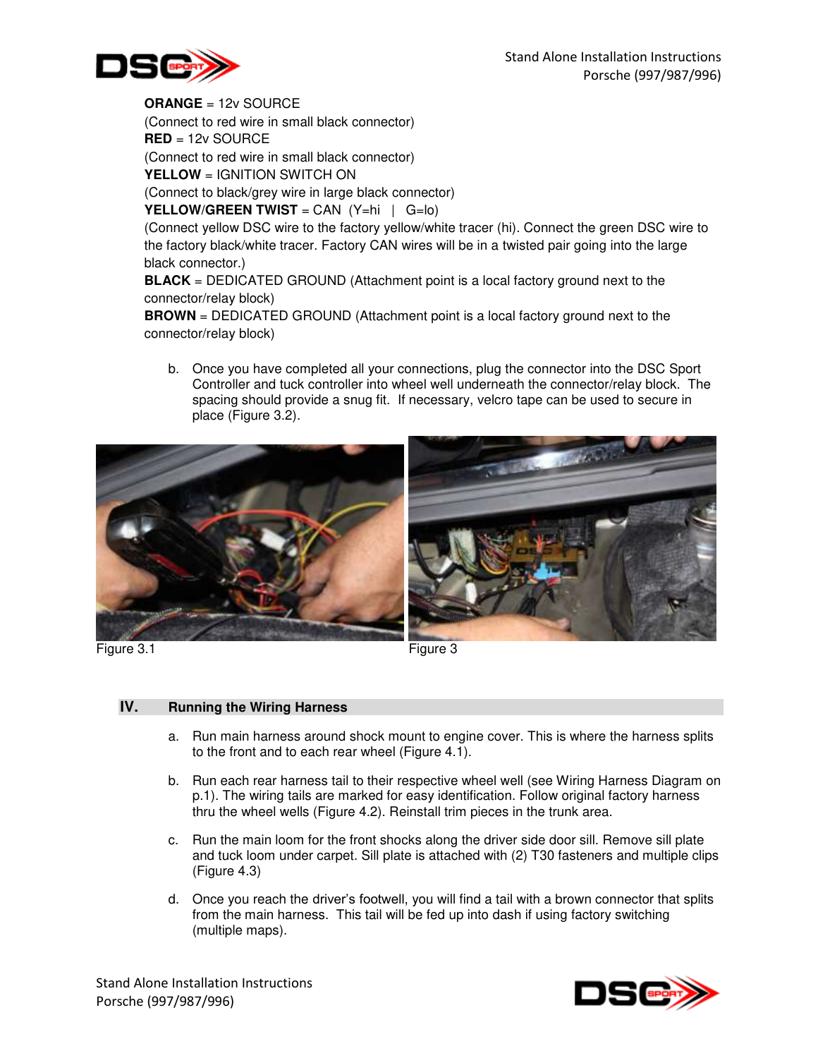

**ORANGE** = 12v SOURCE (Connect to red wire in small black connector) **RED** = 12v SOURCE (Connect to red wire in small black connector) **YELLOW** = IGNITION SWITCH ON (Connect to black/grey wire in large black connector)

**YELLOW/GREEN TWIST** = CAN (Y=hi | G=lo)

(Connect yellow DSC wire to the factory yellow/white tracer (hi). Connect the green DSC wire to the factory black/white tracer. Factory CAN wires will be in a twisted pair going into the large black connector.)

**BLACK** = DEDICATED GROUND (Attachment point is a local factory ground next to the connector/relay block)

**BROWN** = DEDICATED GROUND (Attachment point is a local factory ground next to the connector/relay block)

b. Once you have completed all your connections, plug the connector into the DSC Sport Controller and tuck controller into wheel well underneath the connector/relay block. The spacing should provide a snug fit. If necessary, velcro tape can be used to secure in place (Figure 3.2).



# **IV. Running the Wiring Harness**

- a. Run main harness around shock mount to engine cover. This is where the harness splits to the front and to each rear wheel (Figure 4.1).
- b. Run each rear harness tail to their respective wheel well (see Wiring Harness Diagram on p.1). The wiring tails are marked for easy identification. Follow original factory harness thru the wheel wells (Figure 4.2). Reinstall trim pieces in the trunk area.
- c. Run the main loom for the front shocks along the driver side door sill. Remove sill plate and tuck loom under carpet. Sill plate is attached with (2) T30 fasteners and multiple clips (Figure 4.3)
- d. Once you reach the driver's footwell, you will find a tail with a brown connector that splits from the main harness. This tail will be fed up into dash if using factory switching (multiple maps).

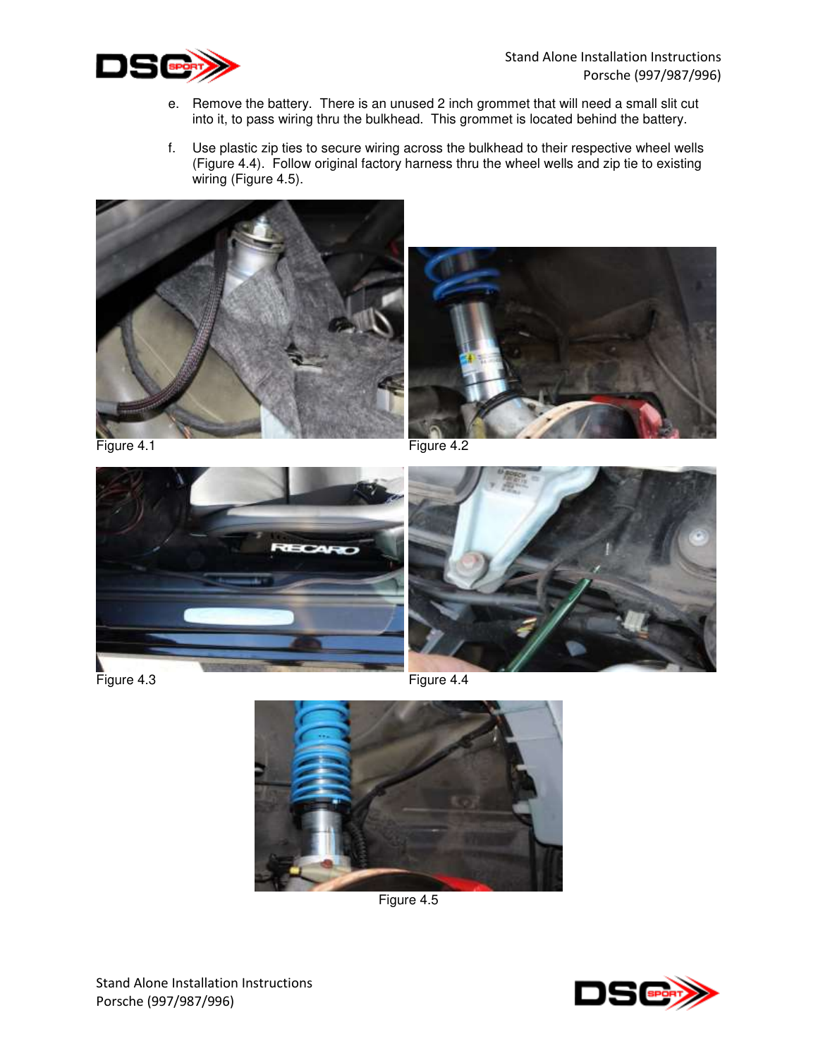

- e. Remove the battery. There is an unused 2 inch grommet that will need a small slit cut into it, to pass wiring thru the bulkhead. This grommet is located behind the battery.
- f. Use plastic zip ties to secure wiring across the bulkhead to their respective wheel wells (Figure 4.4). Follow original factory harness thru the wheel wells and zip tie to existing wiring (Figure 4.5).





Figure 4.1 Figure 4.2





Figure 4.3 Figure 4.4



Figure 4.5

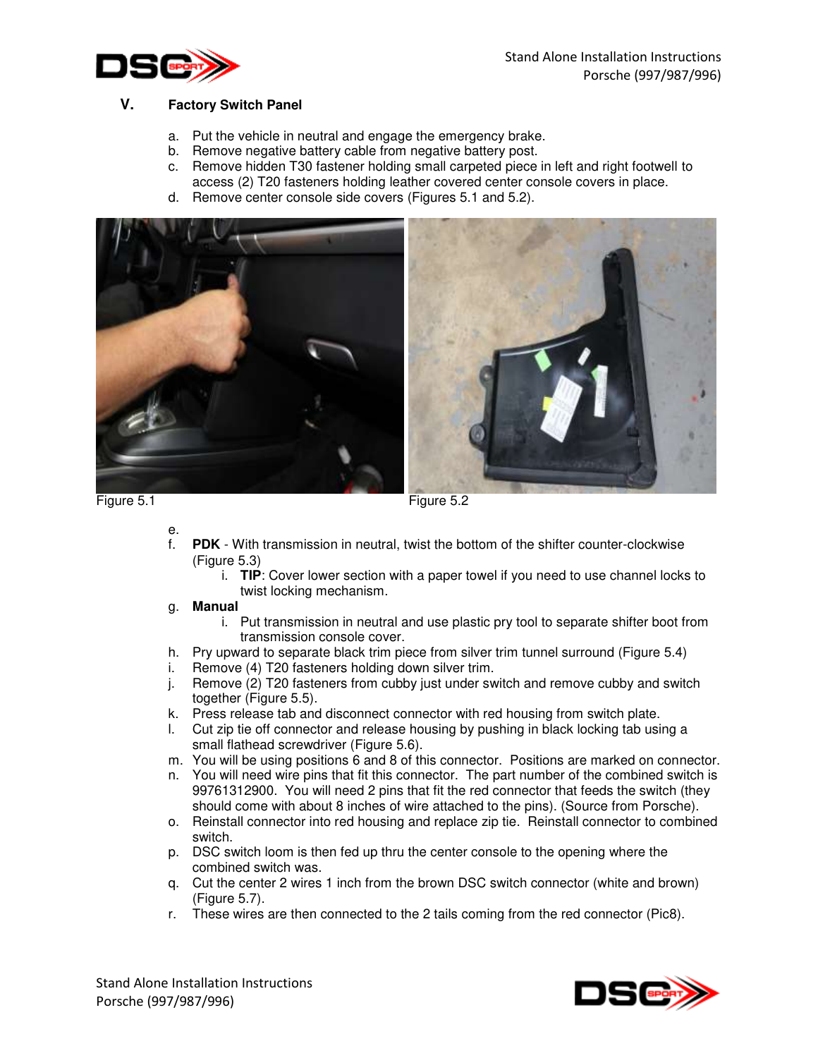

## **V. Factory Switch Panel**

- a. Put the vehicle in neutral and engage the emergency brake.
- b. Remove negative battery cable from negative battery post.
- c. Remove hidden T30 fastener holding small carpeted piece in left and right footwell to access (2) T20 fasteners holding leather covered center console covers in place.
- d. Remove center console side covers (Figures 5.1 and 5.2).



Figure 5.1 Figure 5.2

- e.
	- **PDK** With transmission in neutral, twist the bottom of the shifter counter-clockwise (Figure 5.3)
		- i. **TIP**: Cover lower section with a paper towel if you need to use channel locks to twist locking mechanism.

#### g. **Manual**

- i. Put transmission in neutral and use plastic pry tool to separate shifter boot from transmission console cover.
- h. Pry upward to separate black trim piece from silver trim tunnel surround (Figure 5.4)
- i. Remove (4) T20 fasteners holding down silver trim.
- j. Remove (2) T20 fasteners from cubby just under switch and remove cubby and switch together (Figure 5.5).
- k. Press release tab and disconnect connector with red housing from switch plate.
- l. Cut zip tie off connector and release housing by pushing in black locking tab using a small flathead screwdriver (Figure 5.6).
- m. You will be using positions 6 and 8 of this connector. Positions are marked on connector.
- n. You will need wire pins that fit this connector. The part number of the combined switch is 99761312900. You will need 2 pins that fit the red connector that feeds the switch (they should come with about 8 inches of wire attached to the pins). (Source from Porsche).
- o. Reinstall connector into red housing and replace zip tie. Reinstall connector to combined switch.
- p. DSC switch loom is then fed up thru the center console to the opening where the combined switch was.
- q. Cut the center 2 wires 1 inch from the brown DSC switch connector (white and brown) (Figure 5.7).
- r. These wires are then connected to the 2 tails coming from the red connector (Pic8).